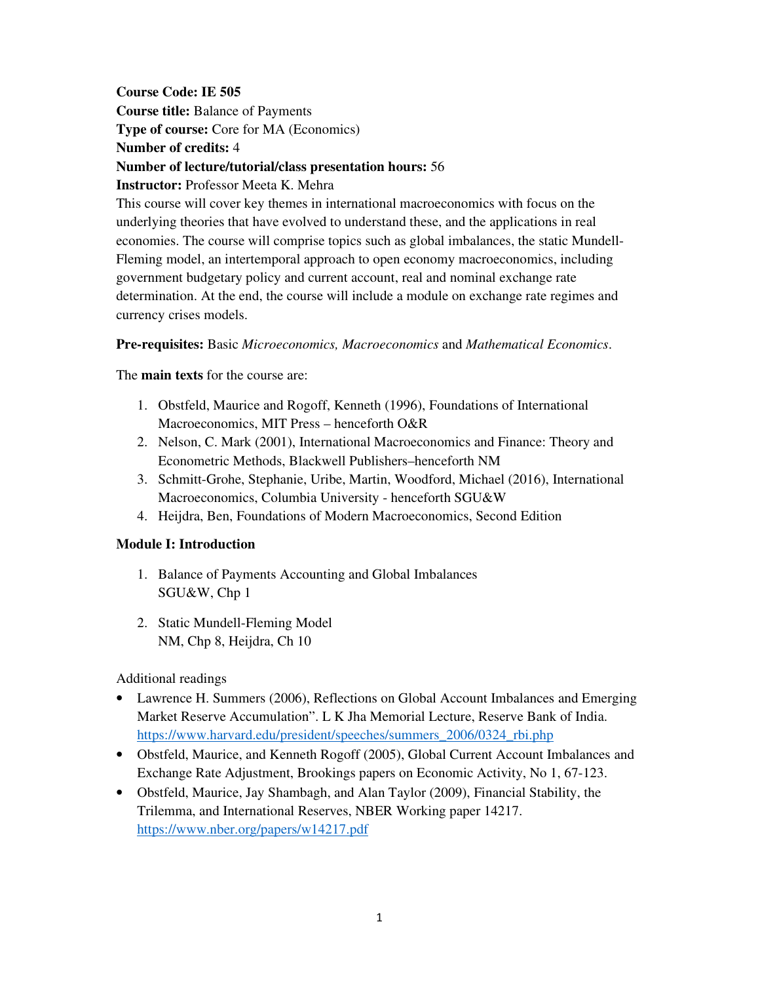**Course Code: IE 505 Course title:** Balance of Payments **Type of course:** Core for MA (Economics) **Number of credits:** 4 **Number of lecture/tutorial/class presentation hours:** 56 **Instructor:** Professor Meeta K. Mehra This course will cover key themes in international macroeconomics with focus on the underlying theories that have evolved to understand these, and the applications in real

economies. The course will comprise topics such as global imbalances, the static Mundell-Fleming model, an intertemporal approach to open economy macroeconomics, including government budgetary policy and current account, real and nominal exchange rate determination. At the end, the course will include a module on exchange rate regimes and currency crises models.

# **Pre-requisites:** Basic *Microeconomics, Macroeconomics* and *Mathematical Economics*.

The **main texts** for the course are:

- 1. Obstfeld, Maurice and Rogoff, Kenneth (1996), Foundations of International Macroeconomics, MIT Press – henceforth O&R
- 2. Nelson, C. Mark (2001), International Macroeconomics and Finance: Theory and Econometric Methods, Blackwell Publishers–henceforth NM
- 3. Schmitt-Grohe, Stephanie, Uribe, Martin, Woodford, Michael (2016), International Macroeconomics, Columbia University - henceforth SGU&W
- 4. Heijdra, Ben, Foundations of Modern Macroeconomics, Second Edition

# **Module I: Introduction**

- 1. Balance of Payments Accounting and Global Imbalances SGU&W, Chp 1
- 2. Static Mundell-Fleming Model NM, Chp 8, Heijdra, Ch 10

Additional readings

- Lawrence H. Summers (2006), Reflections on Global Account Imbalances and Emerging Market Reserve Accumulation". L K Jha Memorial Lecture, Reserve Bank of India. https://www.harvard.edu/president/speeches/summers\_2006/0324\_rbi.php
- Obstfeld, Maurice, and Kenneth Rogoff (2005), Global Current Account Imbalances and Exchange Rate Adjustment, Brookings papers on Economic Activity, No 1, 67-123.
- Obstfeld, Maurice, Jay Shambagh, and Alan Taylor (2009), Financial Stability, the Trilemma, and International Reserves, NBER Working paper 14217. https://www.nber.org/papers/w14217.pdf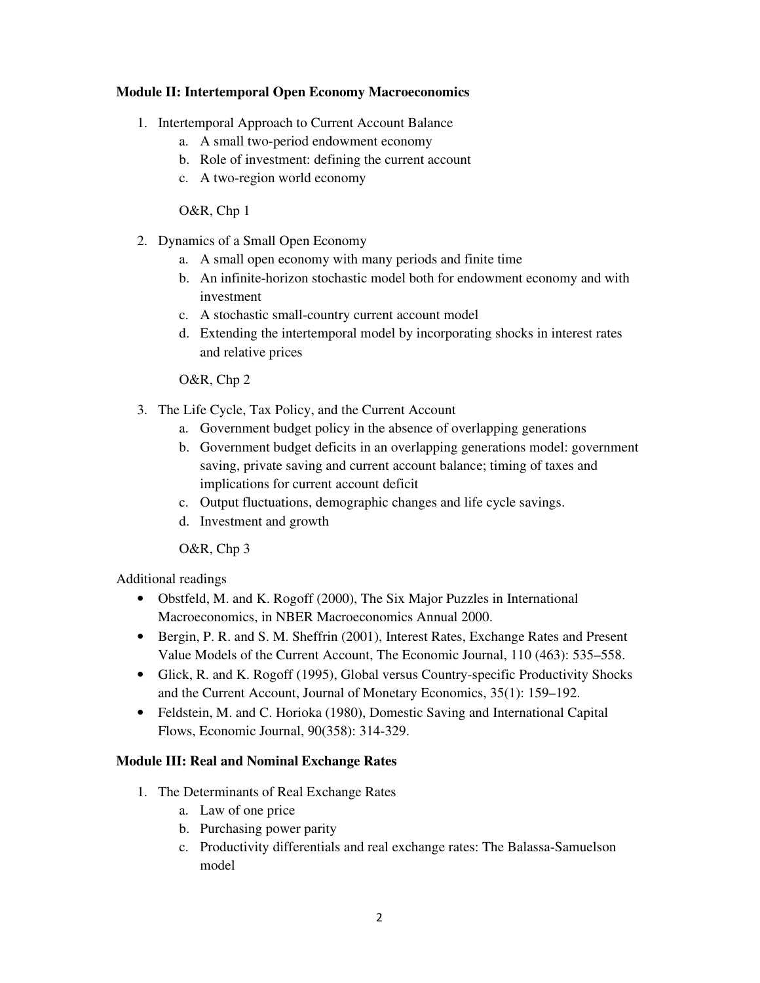# **Module II: Intertemporal Open Economy Macroeconomics**

- 1. Intertemporal Approach to Current Account Balance
	- a. A small two-period endowment economy
	- b. Role of investment: defining the current account
	- c. A two-region world economy

O&R, Chp 1

- 2. Dynamics of a Small Open Economy
	- a. A small open economy with many periods and finite time
	- b. An infinite-horizon stochastic model both for endowment economy and with investment
	- c. A stochastic small-country current account model
	- d. Extending the intertemporal model by incorporating shocks in interest rates and relative prices

O&R, Chp 2

- 3. The Life Cycle, Tax Policy, and the Current Account
	- a. Government budget policy in the absence of overlapping generations
	- b. Government budget deficits in an overlapping generations model: government saving, private saving and current account balance; timing of taxes and implications for current account deficit
	- c. Output fluctuations, demographic changes and life cycle savings.
	- d. Investment and growth

O&R, Chp 3

Additional readings

- Obstfeld, M. and K. Rogoff (2000), The Six Major Puzzles in International Macroeconomics, in NBER Macroeconomics Annual 2000.
- Bergin, P. R. and S. M. Sheffrin (2001), Interest Rates, Exchange Rates and Present Value Models of the Current Account, The Economic Journal, 110 (463): 535–558.
- Glick, R. and K. Rogoff (1995), Global versus Country-specific Productivity Shocks and the Current Account, Journal of Monetary Economics, 35(1): 159–192.
- Feldstein, M. and C. Horioka (1980), Domestic Saving and International Capital Flows, Economic Journal, 90(358): 314-329.

# **Module III: Real and Nominal Exchange Rates**

- 1. The Determinants of Real Exchange Rates
	- a. Law of one price
	- b. Purchasing power parity
	- c. Productivity differentials and real exchange rates: The Balassa-Samuelson model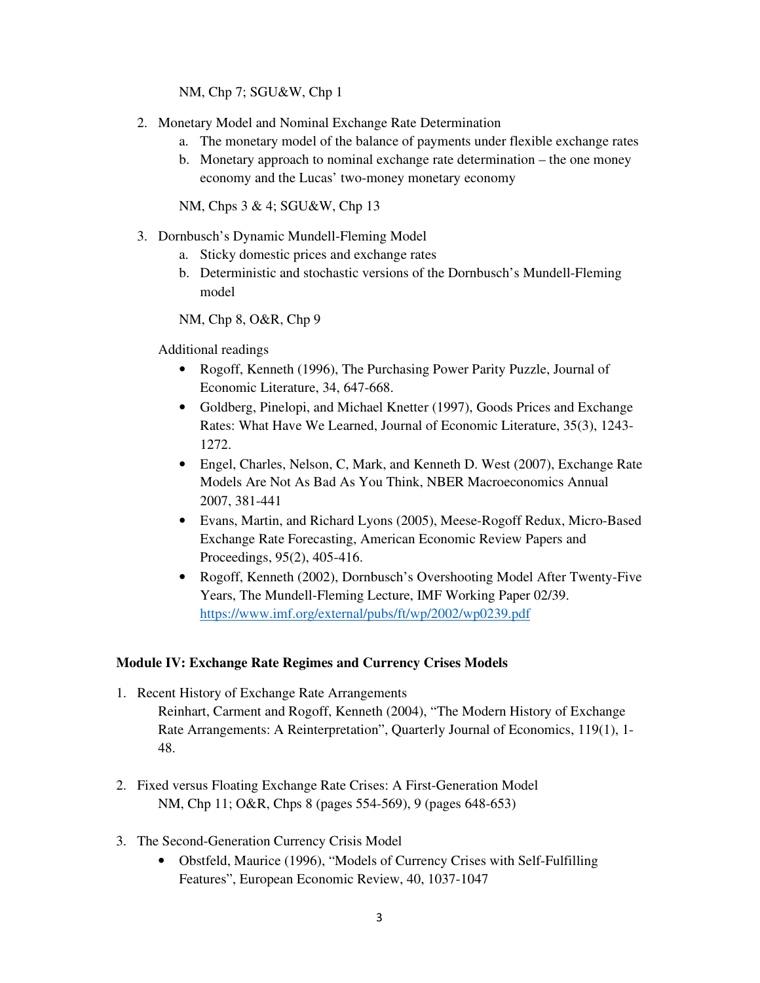NM, Chp 7; SGU&W, Chp 1

- 2. Monetary Model and Nominal Exchange Rate Determination
	- a. The monetary model of the balance of payments under flexible exchange rates
	- b. Monetary approach to nominal exchange rate determination the one money economy and the Lucas' two-money monetary economy

NM, Chps 3 & 4; SGU&W, Chp 13

- 3. Dornbusch's Dynamic Mundell-Fleming Model
	- a. Sticky domestic prices and exchange rates
	- b. Deterministic and stochastic versions of the Dornbusch's Mundell-Fleming model

NM, Chp 8, O&R, Chp 9

Additional readings

- Rogoff, Kenneth (1996), The Purchasing Power Parity Puzzle, Journal of Economic Literature, 34, 647-668.
- Goldberg, Pinelopi, and Michael Knetter (1997), Goods Prices and Exchange Rates: What Have We Learned, Journal of Economic Literature, 35(3), 1243- 1272.
- Engel, Charles, Nelson, C, Mark, and Kenneth D. West (2007), Exchange Rate Models Are Not As Bad As You Think, NBER Macroeconomics Annual 2007, 381-441
- Evans, Martin, and Richard Lyons (2005), Meese-Rogoff Redux, Micro-Based Exchange Rate Forecasting, American Economic Review Papers and Proceedings, 95(2), 405-416.
- Rogoff, Kenneth (2002), Dornbusch's Overshooting Model After Twenty-Five Years, The Mundell-Fleming Lecture, IMF Working Paper 02/39. https://www.imf.org/external/pubs/ft/wp/2002/wp0239.pdf

# **Module IV: Exchange Rate Regimes and Currency Crises Models**

- 1. Recent History of Exchange Rate Arrangements Reinhart, Carment and Rogoff, Kenneth (2004), "The Modern History of Exchange Rate Arrangements: A Reinterpretation", Quarterly Journal of Economics, 119(1), 1- 48.
- 2. Fixed versus Floating Exchange Rate Crises: A First-Generation Model NM, Chp 11; O&R, Chps 8 (pages 554-569), 9 (pages 648-653)
- 3. The Second-Generation Currency Crisis Model
	- Obstfeld, Maurice (1996), "Models of Currency Crises with Self-Fulfilling Features", European Economic Review, 40, 1037-1047